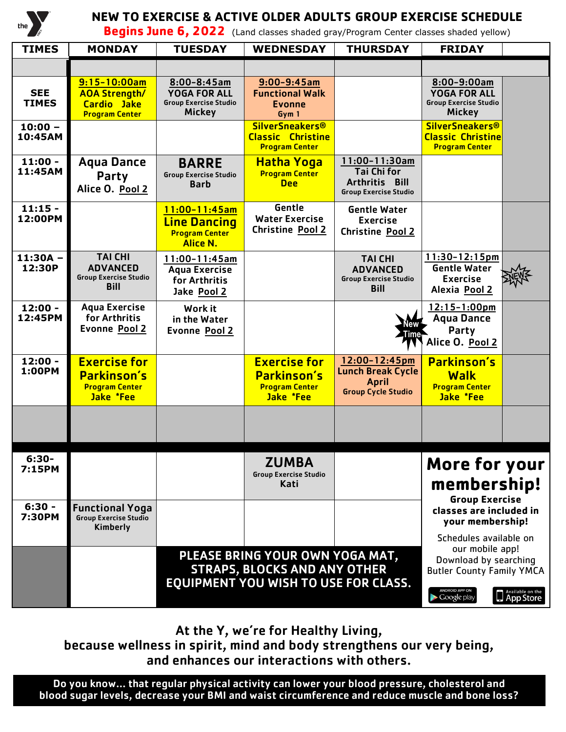

## **NEW TO EXERCISE & ACTIVE OLDER ADULTS GROUP EXERCISE SCHEDULE**

**Begins June 6, 2022** (Land classes shaded gray/Program Center classes shaded yellow)

| <b>TIMES</b>               | <b>MONDAY</b>                                                                           | <b>TUESDAY</b>                                                                           | <b>WEDNESDAY</b>                                                            | <b>THURSDAY</b>                                                                        | <b>FRIDAY</b>                                                                                                                                         |                            |
|----------------------------|-----------------------------------------------------------------------------------------|------------------------------------------------------------------------------------------|-----------------------------------------------------------------------------|----------------------------------------------------------------------------------------|-------------------------------------------------------------------------------------------------------------------------------------------------------|----------------------------|
|                            |                                                                                         |                                                                                          |                                                                             |                                                                                        |                                                                                                                                                       |                            |
| <b>SEE</b><br><b>TIMES</b> | $9:15 - 10:00am$<br><b>AOA Strength/</b><br><b>Cardio Jake</b><br><b>Program Center</b> | $8:00 - 8:45$ am<br><b>YOGA FOR ALL</b><br><b>Group Exercise Studio</b><br><b>Mickey</b> | $9:00 - 9:45am$<br><b>Functional Walk</b><br><b>Evonne</b><br>Gym 1         |                                                                                        | 8:00-9:00am<br><b>YOGA FOR ALL</b><br><b>Group Exercise Studio</b><br><b>Mickey</b>                                                                   |                            |
| $10:00 -$<br>10:45AM       |                                                                                         |                                                                                          | <b>SilverSneakers®</b><br><b>Classic Christine</b><br><b>Program Center</b> |                                                                                        | <b>SilverSneakers®</b><br><b>Classic Christine</b><br><b>Program Center</b>                                                                           |                            |
| $11:00 -$<br>11:45AM       | <b>Agua Dance</b><br>Party<br>Alice O. Pool 2                                           | <b>BARRE</b><br><b>Group Exercise Studio</b><br><b>Barb</b>                              | <b>Hatha Yoga</b><br><b>Program Center</b><br><b>Dee</b>                    | 11:00-11:30am<br><b>Tai Chi for</b><br>Arthritis Bill<br><b>Group Exercise Studio</b>  |                                                                                                                                                       |                            |
| $11:15 -$<br>12:00PM       |                                                                                         | $11:00 - 11:45$ am<br><b>Line Dancing</b><br><b>Program Center</b><br><b>Alice N.</b>    | Gentle<br><b>Water Exercise</b><br>Christine Pool 2                         | <b>Gentle Water</b><br><b>Exercise</b><br>Christine Pool 2                             |                                                                                                                                                       |                            |
| 11:30A -<br>12:30P         | <b>TAI CHI</b><br><b>ADVANCED</b><br><b>Group Exercise Studio</b><br><b>Bill</b>        | $11:00-11:45am$<br><b>Aqua Exercise</b><br>for Arthritis<br>Jake Pool 2                  |                                                                             | <b>TAI CHI</b><br><b>ADVANCED</b><br><b>Group Exercise Studio</b><br><b>Bill</b>       | $11:30 - 12:15pm$<br><b>Gentle Water</b><br><b>Exercise</b><br>Alexia Pool 2                                                                          |                            |
| $12:00 -$<br>12:45PM       | <b>Aqua Exercise</b><br>for Arthritis<br><b>Evonne Pool 2</b>                           | Work it<br>in the Water<br><b>Evonne Pool 2</b>                                          |                                                                             |                                                                                        | $12:15 - 1:00$ pm<br><b>Aqua Dance</b><br>Party<br>Alice O. Pool 2                                                                                    |                            |
| $12:00 -$<br>1:00PM        | <b>Exercise for</b><br><b>Parkinson's</b><br><b>Program Center</b><br>Jake *Fee         |                                                                                          | <b>Exercise for</b><br>Parkinson's<br><b>Program Center</b><br>Jake *Fee    | 12:00-12:45pm<br><b>Lunch Break Cycle</b><br><b>April</b><br><b>Group Cycle Studio</b> | <b>Parkinson's</b><br><b>Walk</b><br><b>Program Center</b><br>Jake *Fee                                                                               |                            |
|                            |                                                                                         |                                                                                          |                                                                             |                                                                                        |                                                                                                                                                       |                            |
| $6:30-$<br>7:15PM          |                                                                                         |                                                                                          | <b>ZUMBA</b><br><b>Group Exercise Studio</b><br>Kati                        |                                                                                        | More for your<br>membership!<br><b>Group Exercise</b>                                                                                                 |                            |
| $6:30 -$<br>7:30PM         | <b>Functional Yoga</b><br>Group Exercise Studio<br>Kimberly                             |                                                                                          |                                                                             |                                                                                        | classes are included in<br>your membership!<br>Schedules available on<br>our mobile app!<br>Download by searching<br><b>Butler County Family YMCA</b> |                            |
|                            |                                                                                         |                                                                                          | PLEASE BRING YOUR OWN YOGA MAT,<br><b>STRAPS, BLOCKS AND ANY OTHER</b>      |                                                                                        |                                                                                                                                                       |                            |
|                            |                                                                                         | <b>EQUIPMENT YOU WISH TO USE FOR CLASS.</b>                                              |                                                                             |                                                                                        | ANDROID APP ON<br>$\blacktriangleright$ Google play                                                                                                   | Available on the App Store |

At the Y, we're for Healthy Living,

because wellness in spirit, mind and body strengthens our very being, and enhances our interactions with others.

Do you know… that regular physical activity can lower your blood pressure, cholesterol and blood sugar levels, decrease your BMI and waist circumference and reduce muscle and bone loss?